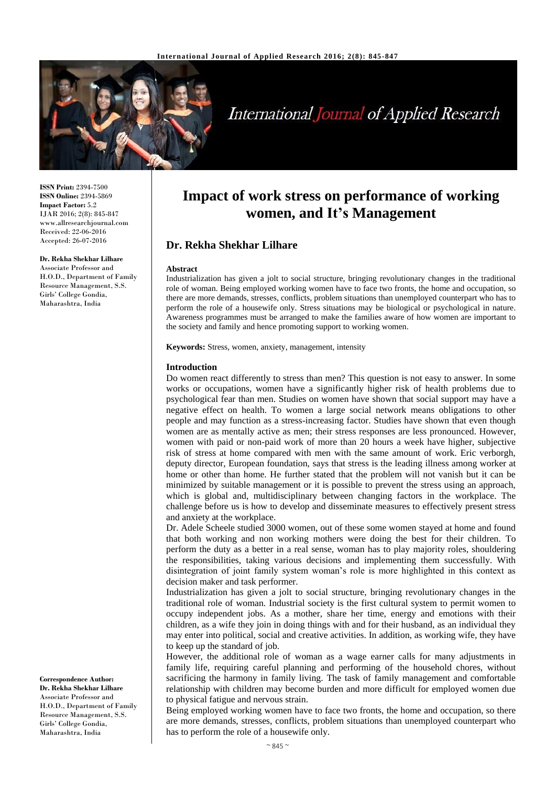

# **International Journal of Applied Research**

**ISSN Print:** 2394-7500 **ISSN Online:** 2394-5869 **Impact Factor:** 5.2 IJAR 2016; 2(8): 845-847 www.allresearchjournal.com Received: 22-06-2016 Accepted: 26-07-2016

Associate Professor and H.O.D., Department of Family Resource Management, S.S. Girls' College Gondia, Maharashtra, India

**Dr. Rekha Shekhar Lilhare**

**Correspondence Author: Dr. Rekha Shekhar Lilhare** Associate Professor and H.O.D., Department of Family Resource Management, S.S. Girls' College Gondia, Maharashtra, India

## **Impact of work stress on performance of working women, and It's Management**

## **Dr. Rekha Shekhar Lilhare**

#### **Abstract**

Industrialization has given a jolt to social structure, bringing revolutionary changes in the traditional role of woman. Being employed working women have to face two fronts, the home and occupation, so there are more demands, stresses, conflicts, problem situations than unemployed counterpart who has to perform the role of a housewife only. Stress situations may be biological or psychological in nature. Awareness programmes must be arranged to make the families aware of how women are important to the society and family and hence promoting support to working women.

**Keywords:** Stress, women, anxiety, management, intensity

#### **Introduction**

Do women react differently to stress than men? This question is not easy to answer. In some works or occupations, women have a significantly higher risk of health problems due to psychological fear than men. Studies on women have shown that social support may have a negative effect on health. To women a large social network means obligations to other people and may function as a stress-increasing factor. Studies have shown that even though women are as mentally active as men; their stress responses are less pronounced. However, women with paid or non-paid work of more than 20 hours a week have higher, subjective risk of stress at home compared with men with the same amount of work. Eric verborgh, deputy director, European foundation, says that stress is the leading illness among worker at home or other than home. He further stated that the problem will not vanish but it can be minimized by suitable management or it is possible to prevent the stress using an approach, which is global and, multidisciplinary between changing factors in the workplace. The challenge before us is how to develop and disseminate measures to effectively present stress and anxiety at the workplace.

Dr. Adele Scheele studied 3000 women, out of these some women stayed at home and found that both working and non working mothers were doing the best for their children. To perform the duty as a better in a real sense, woman has to play majority roles, shouldering the responsibilities, taking various decisions and implementing them successfully. With disintegration of joint family system woman's role is more highlighted in this context as decision maker and task performer.

Industrialization has given a jolt to social structure, bringing revolutionary changes in the traditional role of woman. Industrial society is the first cultural system to permit women to occupy independent jobs. As a mother, share her time, energy and emotions with their children, as a wife they join in doing things with and for their husband, as an individual they may enter into political, social and creative activities. In addition, as working wife, they have to keep up the standard of job.

However, the additional role of woman as a wage earner calls for many adjustments in family life, requiring careful planning and performing of the household chores, without sacrificing the harmony in family living. The task of family management and comfortable relationship with children may become burden and more difficult for employed women due to physical fatigue and nervous strain.

Being employed working women have to face two fronts, the home and occupation, so there are more demands, stresses, conflicts, problem situations than unemployed counterpart who has to perform the role of a housewife only.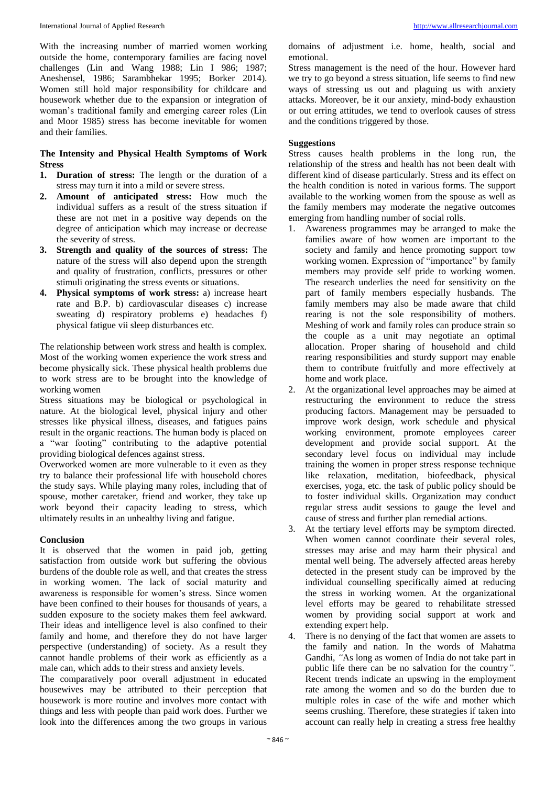With the increasing number of married women working outside the home, contemporary families are facing novel challenges (Lin and Wang 1988; Lin I 986; 1987; Aneshensel, 1986; Sarambhekar 1995; Borker 2014). Women still hold major responsibility for childcare and housework whether due to the expansion or integration of woman's traditional family and emerging career roles (Lin and Moor 1985) stress has become inevitable for women and their families.

#### **The Intensity and Physical Health Symptoms of Work Stress**

- **1. Duration of stress:** The length or the duration of a stress may turn it into a mild or severe stress.
- **2. Amount of anticipated stress:** How much the individual suffers as a result of the stress situation if these are not met in a positive way depends on the degree of anticipation which may increase or decrease the severity of stress.
- **3. Strength and quality of the sources of stress:** The nature of the stress will also depend upon the strength and quality of frustration, conflicts, pressures or other stimuli originating the stress events or situations.
- **4. Physical symptoms of work stress:** a) increase heart rate and B.P. b) cardiovascular diseases c) increase sweating d) respiratory problems e) headaches f) physical fatigue vii sleep disturbances etc.

The relationship between work stress and health is complex. Most of the working women experience the work stress and become physically sick. These physical health problems due to work stress are to be brought into the knowledge of working women

Stress situations may be biological or psychological in nature. At the biological level, physical injury and other stresses like physical illness, diseases, and fatigues pains result in the organic reactions. The human body is placed on a "war footing" contributing to the adaptive potential providing biological defences against stress.

Overworked women are more vulnerable to it even as they try to balance their professional life with household chores the study says. While playing many roles, including that of spouse, mother caretaker, friend and worker, they take up work beyond their capacity leading to stress, which ultimately results in an unhealthy living and fatigue.

#### **Conclusion**

It is observed that the women in paid job, getting satisfaction from outside work but suffering the obvious burdens of the double role as well, and that creates the stress in working women. The lack of social maturity and awareness is responsible for women's stress. Since women have been confined to their houses for thousands of years, a sudden exposure to the society makes them feel awkward. Their ideas and intelligence level is also confined to their family and home, and therefore they do not have larger perspective (understanding) of society. As a result they cannot handle problems of their work as efficiently as a male can, which adds to their stress and anxiety levels.

The comparatively poor overall adjustment in educated housewives may be attributed to their perception that housework is more routine and involves more contact with things and less with people than paid work does. Further we look into the differences among the two groups in various

domains of adjustment i.e. home, health, social and emotional.

Stress management is the need of the hour. However hard we try to go beyond a stress situation, life seems to find new ways of stressing us out and plaguing us with anxiety attacks. Moreover, be it our anxiety, mind-body exhaustion or out erring attitudes, we tend to overlook causes of stress and the conditions triggered by those.

#### **Suggestions**

Stress causes health problems in the long run, the relationship of the stress and health has not been dealt with different kind of disease particularly. Stress and its effect on the health condition is noted in various forms. The support available to the working women from the spouse as well as the family members may moderate the negative outcomes emerging from handling number of social rolls.

- 1. Awareness programmes may be arranged to make the families aware of how women are important to the society and family and hence promoting support tow working women. Expression of "importance" by family members may provide self pride to working women. The research underlies the need for sensitivity on the part of family members especially husbands. The family members may also be made aware that child rearing is not the sole responsibility of mothers. Meshing of work and family roles can produce strain so the couple as a unit may negotiate an optimal allocation. Proper sharing of household and child rearing responsibilities and sturdy support may enable them to contribute fruitfully and more effectively at home and work place.
- 2. At the organizational level approaches may be aimed at restructuring the environment to reduce the stress producing factors. Management may be persuaded to improve work design, work schedule and physical working environment, promote employees career development and provide social support. At the secondary level focus on individual may include training the women in proper stress response technique like relaxation, meditation, biofeedback, physical exercises, yoga, etc. the task of public policy should be to foster individual skills. Organization may conduct regular stress audit sessions to gauge the level and cause of stress and further plan remedial actions.
- 3. At the tertiary level efforts may be symptom directed. When women cannot coordinate their several roles, stresses may arise and may harm their physical and mental well being. The adversely affected areas hereby detected in the present study can be improved by the individual counselling specifically aimed at reducing the stress in working women. At the organizational level efforts may be geared to rehabilitate stressed women by providing social support at work and extending expert help.
- 4. There is no denying of the fact that women are assets to the family and nation. In the words of Mahatma Gandhi, *"*As long as women of India do not take part in public life there can be no salvation for the country*"*. Recent trends indicate an upswing in the employment rate among the women and so do the burden due to multiple roles in case of the wife and mother which seems crushing. Therefore, these strategies if taken into account can really help in creating a stress free healthy